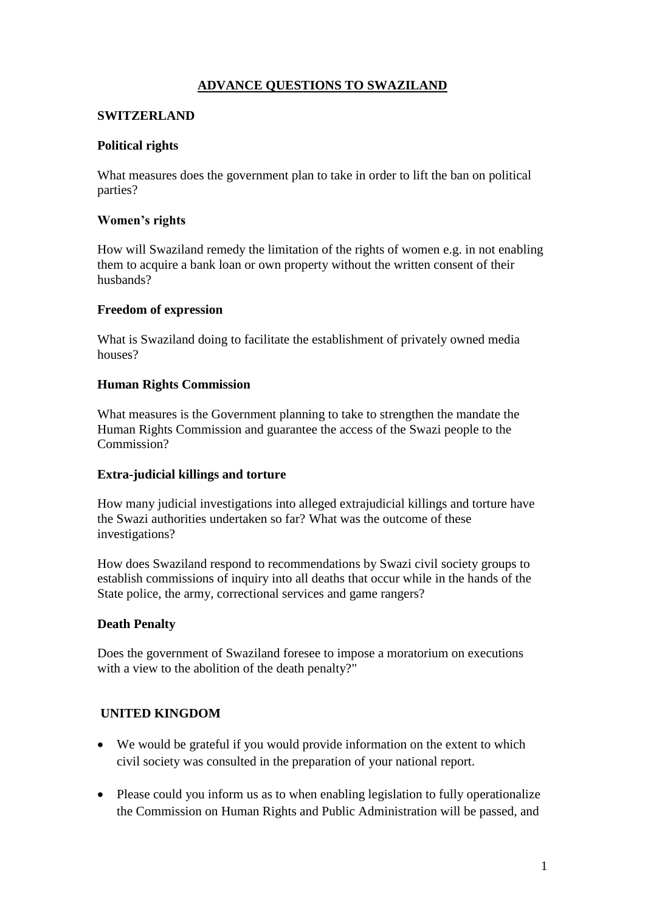# **ADVANCE QUESTIONS TO SWAZILAND**

### **SWITZERLAND**

### **Political rights**

What measures does the government plan to take in order to lift the ban on political parties?

#### **Women's rights**

How will Swaziland remedy the limitation of the rights of women e.g. in not enabling them to acquire a bank loan or own property without the written consent of their husbands?

#### **Freedom of expression**

What is Swaziland doing to facilitate the establishment of privately owned media houses?

### **Human Rights Commission**

What measures is the Government planning to take to strengthen the mandate the Human Rights Commission and guarantee the access of the Swazi people to the Commission?

#### **Extra-judicial killings and torture**

How many judicial investigations into alleged extrajudicial killings and torture have the Swazi authorities undertaken so far? What was the outcome of these investigations?

How does Swaziland respond to recommendations by Swazi civil society groups to establish commissions of inquiry into all deaths that occur while in the hands of the State police, the army, correctional services and game rangers?

# **Death Penalty**

Does the government of Swaziland foresee to impose a moratorium on executions with a view to the abolition of the death penalty?"

# **UNITED KINGDOM**

- We would be grateful if you would provide information on the extent to which civil society was consulted in the preparation of your national report.
- Please could you inform us as to when enabling legislation to fully operationalize the Commission on Human Rights and Public Administration will be passed, and